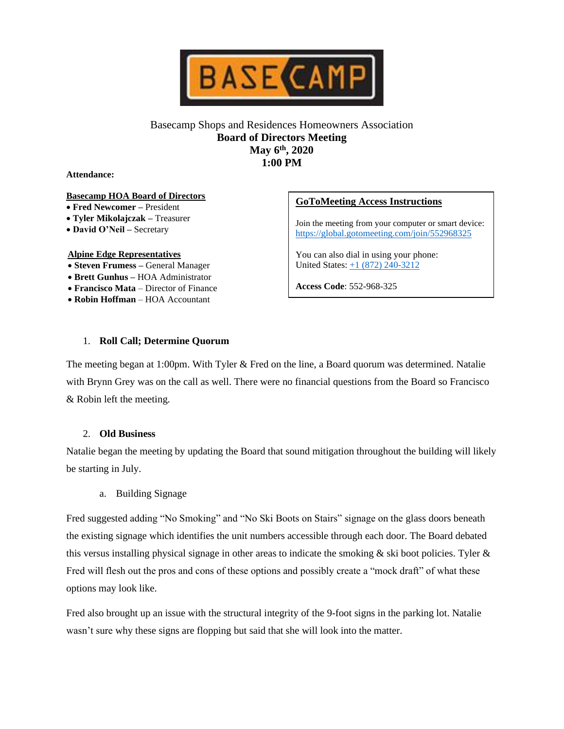

## Basecamp Shops and Residences Homeowners Association **Board of Directors Meeting May 6th, 2020 1:00 PM**

**Attendance:**

#### **Basecamp HOA Board of Directors**

- **Fred Newcomer –** President
- **Tyler Mikolajczak –** Treasurer
- **David O'Neil –** Secretary

#### **Alpine Edge Representatives**

- **Steven Frumess –** General Manager
- **Brett Gunhus –** HOA Administrator
- **Francisco Mata**  Director of Finance
- **Robin Hoffman** HOA Accountant

# **GoToMeeting Access Instructions**

Join the meeting from your computer or smart device: <https://global.gotomeeting.com/join/552968325>

You can also dial in using your phone: United States: [+1 \(872\) 240-3212](tel:+18722403212,,552968325)

**Access Code**: 552-968-325

### 1. **Roll Call; Determine Quorum**

The meeting began at 1:00pm. With Tyler & Fred on the line, a Board quorum was determined. Natalie with Brynn Grey was on the call as well. There were no financial questions from the Board so Francisco & Robin left the meeting.

### 2. **Old Business**

Natalie began the meeting by updating the Board that sound mitigation throughout the building will likely be starting in July.

a. Building Signage

Fred suggested adding "No Smoking" and "No Ski Boots on Stairs" signage on the glass doors beneath the existing signage which identifies the unit numbers accessible through each door. The Board debated this versus installing physical signage in other areas to indicate the smoking  $\&$  ski boot policies. Tyler  $\&$ Fred will flesh out the pros and cons of these options and possibly create a "mock draft" of what these options may look like.

Fred also brought up an issue with the structural integrity of the 9-foot signs in the parking lot. Natalie wasn't sure why these signs are flopping but said that she will look into the matter.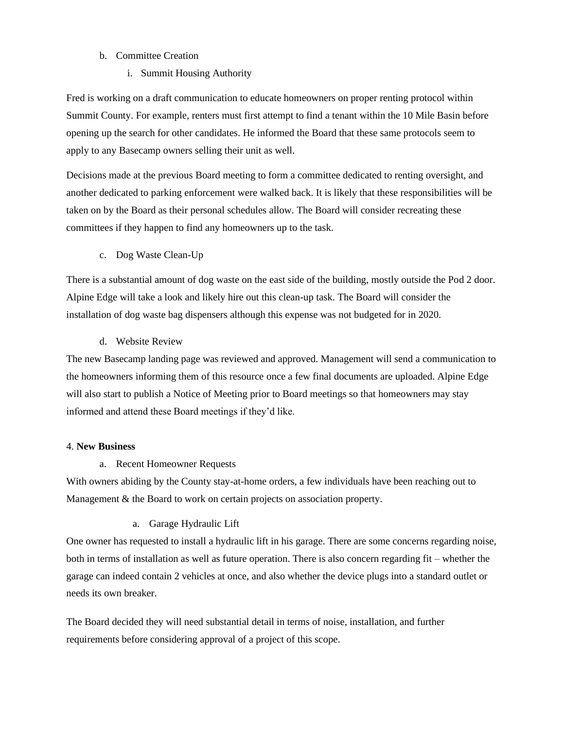### b. Committee Creation

i. Summit Housing Authority

Fred is working on a draft communication to educate homeowners on proper renting protocol within Summit County. For example, renters must first attempt to find a tenant within the 10 Mile Basin before opening up the search for other candidates. He informed the Board that these same protocols seem to apply to any Basecamp owners selling their unit as well.

Decisions made at the previous Board meeting to form a committee dedicated to renting oversight, and another dedicated to parking enforcement were walked back. It is likely that these responsibilities will be taken on by the Board as their personal schedules allow. The Board will consider recreating these committees if they happen to find any homeowners up to the task.

c. Dog Waste Clean-Up

There is a substantial amount of dog waste on the east side of the building, mostly outside the Pod 2 door. Alpine Edge will take a look and likely hire out this clean-up task. The Board will consider the installation of dog waste bag dispensers although this expense was not budgeted for in 2020.

d. Website Review

The new Basecamp landing page was reviewed and approved. Management will send a communication to the homeowners informing them of this resource once a few final documents are uploaded. Alpine Edge will also start to publish a Notice of Meeting prior to Board meetings so that homeowners may stay informed and attend these Board meetings if they'd like.

### 4. **New Business**

a. Recent Homeowner Requests

With owners abiding by the County stay-at-home orders, a few individuals have been reaching out to Management & the Board to work on certain projects on association property.

## a. Garage Hydraulic Lift

One owner has requested to install a hydraulic lift in his garage. There are some concerns regarding noise, both in terms of installation as well as future operation. There is also concern regarding fit – whether the garage can indeed contain 2 vehicles at once, and also whether the device plugs into a standard outlet or needs its own breaker.

The Board decided they will need substantial detail in terms of noise, installation, and further requirements before considering approval of a project of this scope.